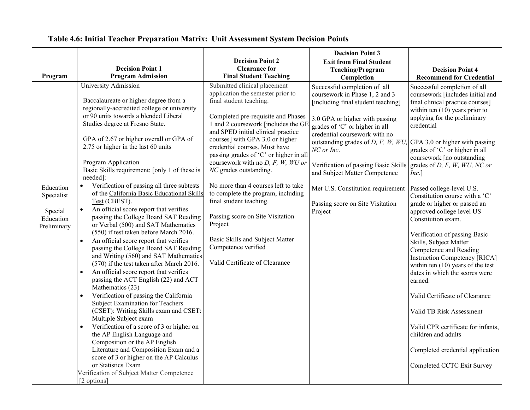|                                                                           |                                                                                                                                                                                                                                                                                                                                                                                                                                                                                                                                                                                                                                                                                                                                                                                                                                                                                                                                                                                                                                                                                                                                                                                                                                                                                                        |                                                                                                                                                                                                                                                                                                                                                                                                                                                                                                                                                                                                                                                                                                                     | <b>Decision Point 3</b>                                                                                                                                                                                                                                                                                                                                                                                                                                                |                                                                                                                                                                                                                                                                                                                                                                                                                                                                                                                                                                                                                                                                                                                                                                                                                                                                                                                |
|---------------------------------------------------------------------------|--------------------------------------------------------------------------------------------------------------------------------------------------------------------------------------------------------------------------------------------------------------------------------------------------------------------------------------------------------------------------------------------------------------------------------------------------------------------------------------------------------------------------------------------------------------------------------------------------------------------------------------------------------------------------------------------------------------------------------------------------------------------------------------------------------------------------------------------------------------------------------------------------------------------------------------------------------------------------------------------------------------------------------------------------------------------------------------------------------------------------------------------------------------------------------------------------------------------------------------------------------------------------------------------------------|---------------------------------------------------------------------------------------------------------------------------------------------------------------------------------------------------------------------------------------------------------------------------------------------------------------------------------------------------------------------------------------------------------------------------------------------------------------------------------------------------------------------------------------------------------------------------------------------------------------------------------------------------------------------------------------------------------------------|------------------------------------------------------------------------------------------------------------------------------------------------------------------------------------------------------------------------------------------------------------------------------------------------------------------------------------------------------------------------------------------------------------------------------------------------------------------------|----------------------------------------------------------------------------------------------------------------------------------------------------------------------------------------------------------------------------------------------------------------------------------------------------------------------------------------------------------------------------------------------------------------------------------------------------------------------------------------------------------------------------------------------------------------------------------------------------------------------------------------------------------------------------------------------------------------------------------------------------------------------------------------------------------------------------------------------------------------------------------------------------------------|
|                                                                           |                                                                                                                                                                                                                                                                                                                                                                                                                                                                                                                                                                                                                                                                                                                                                                                                                                                                                                                                                                                                                                                                                                                                                                                                                                                                                                        | <b>Decision Point 2</b>                                                                                                                                                                                                                                                                                                                                                                                                                                                                                                                                                                                                                                                                                             | <b>Exit from Final Student</b>                                                                                                                                                                                                                                                                                                                                                                                                                                         |                                                                                                                                                                                                                                                                                                                                                                                                                                                                                                                                                                                                                                                                                                                                                                                                                                                                                                                |
|                                                                           |                                                                                                                                                                                                                                                                                                                                                                                                                                                                                                                                                                                                                                                                                                                                                                                                                                                                                                                                                                                                                                                                                                                                                                                                                                                                                                        |                                                                                                                                                                                                                                                                                                                                                                                                                                                                                                                                                                                                                                                                                                                     |                                                                                                                                                                                                                                                                                                                                                                                                                                                                        |                                                                                                                                                                                                                                                                                                                                                                                                                                                                                                                                                                                                                                                                                                                                                                                                                                                                                                                |
| Program<br>Education<br>Specialist<br>Special<br>Education<br>Preliminary | <b>Decision Point 1</b><br><b>Program Admission</b><br>University Admission<br>Baccalaureate or higher degree from a<br>regionally-accredited college or university<br>or 90 units towards a blended Liberal<br>Studies degree at Fresno State.<br>GPA of 2.67 or higher overall or GPA of<br>2.75 or higher in the last 60 units<br>Program Application<br>Basic Skills requirement: [only 1 of these is<br>needed]:<br>Verification of passing all three subtests<br>$\bullet$<br>of the California Basic Educational Skills<br>Test (CBEST).<br>An official score report that verifies<br>$\bullet$<br>passing the College Board SAT Reading<br>or Verbal (500) and SAT Mathematics<br>(550) if test taken before March 2016.<br>$\bullet$<br>An official score report that verifies<br>passing the College Board SAT Reading<br>and Writing (560) and SAT Mathematics<br>(570) if the test taken after March 2016.<br>An official score report that verifies<br>$\bullet$<br>passing the ACT English (22) and ACT<br>Mathematics (23)<br>Verification of passing the California<br>$\bullet$<br><b>Subject Examination for Teachers</b><br>(CSET): Writing Skills exam and CSET:<br>Multiple Subject exam<br>$\bullet$<br>Verification of a score of 3 or higher on<br>the AP English Language and | <b>Clearance for</b><br><b>Final Student Teaching</b><br>Submitted clinical placement<br>application the semester prior to<br>final student teaching.<br>Completed pre-requisite and Phases<br>1 and 2 coursework [includes the GE<br>and SPED initial clinical practice<br>courses] with GPA 3.0 or higher<br>credential courses. Must have<br>passing grades of 'C' or higher in all<br>coursework with no $D$ , $F$ , $W$ , $WU$ or<br>NC grades outstanding.<br>No more than 4 courses left to take<br>to complete the program, including<br>final student teaching.<br>Passing score on Site Visitation<br>Project<br>Basic Skills and Subject Matter<br>Competence verified<br>Valid Certificate of Clearance | Teaching/Program<br>Completion<br>Successful completion of all<br>coursework in Phase 1, 2 and 3<br>[including final student teaching]<br>3.0 GPA or higher with passing<br>grades of 'C' or higher in all<br>credential coursework with no<br>outstanding grades of $D$ , $F$ , $W$ , $WU$<br>NC or Inc.<br>Verification of passing Basic Skills<br>and Subject Matter Competence<br>Met U.S. Constitution requirement<br>Passing score on Site Visitation<br>Project | <b>Decision Point 4</b><br><b>Recommend for Credential</b><br>Successful completion of all<br>coursework [includes initial and<br>final clinical practice courses]<br>within ten $(10)$ years prior to<br>applying for the preliminary<br>credential<br>GPA 3.0 or higher with passing<br>grades of 'C' or higher in all<br>coursework [no outstanding<br>grades of $D$ , $F$ , $W$ , $WU$ , $NC$ or<br>$Inc.$ ]<br>Passed college-level U.S.<br>Constitution course with a 'C'<br>grade or higher or passed an<br>approved college level US<br>Constitution exam.<br>Verification of passing Basic<br>Skills, Subject Matter<br>Competence and Reading<br><b>Instruction Competency [RICA]</b><br>within ten $(10)$ years of the test<br>dates in which the scores were<br>earned.<br>Valid Certificate of Clearance<br>Valid TB Risk Assessment<br>Valid CPR certificate for infants,<br>children and adults |
|                                                                           | Composition or the AP English<br>Literature and Composition Exam and a<br>score of 3 or higher on the AP Calculus                                                                                                                                                                                                                                                                                                                                                                                                                                                                                                                                                                                                                                                                                                                                                                                                                                                                                                                                                                                                                                                                                                                                                                                      |                                                                                                                                                                                                                                                                                                                                                                                                                                                                                                                                                                                                                                                                                                                     |                                                                                                                                                                                                                                                                                                                                                                                                                                                                        | Completed credential application                                                                                                                                                                                                                                                                                                                                                                                                                                                                                                                                                                                                                                                                                                                                                                                                                                                                               |
|                                                                           | or Statistics Exam<br>Verification of Subject Matter Competence<br>[2 options]                                                                                                                                                                                                                                                                                                                                                                                                                                                                                                                                                                                                                                                                                                                                                                                                                                                                                                                                                                                                                                                                                                                                                                                                                         |                                                                                                                                                                                                                                                                                                                                                                                                                                                                                                                                                                                                                                                                                                                     |                                                                                                                                                                                                                                                                                                                                                                                                                                                                        | Completed CCTC Exit Survey                                                                                                                                                                                                                                                                                                                                                                                                                                                                                                                                                                                                                                                                                                                                                                                                                                                                                     |

## **Table 4.6: Initial Teacher Preparation Matrix: Unit Assessment System Decision Points**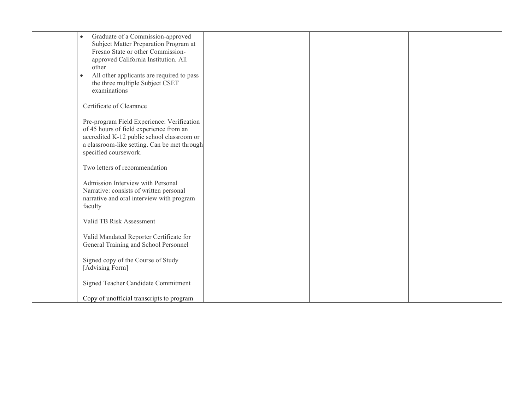| Graduate of a Commission-approved<br>$\bullet$<br>Subject Matter Preparation Program at<br>Fresno State or other Commission-<br>approved California Institution. All<br>other<br>All other applicants are required to pass<br>$\bullet$<br>the three multiple Subject CSET<br>examinations<br>Certificate of Clearance |  |
|------------------------------------------------------------------------------------------------------------------------------------------------------------------------------------------------------------------------------------------------------------------------------------------------------------------------|--|
|                                                                                                                                                                                                                                                                                                                        |  |
|                                                                                                                                                                                                                                                                                                                        |  |
|                                                                                                                                                                                                                                                                                                                        |  |
|                                                                                                                                                                                                                                                                                                                        |  |
|                                                                                                                                                                                                                                                                                                                        |  |
|                                                                                                                                                                                                                                                                                                                        |  |
|                                                                                                                                                                                                                                                                                                                        |  |
|                                                                                                                                                                                                                                                                                                                        |  |
|                                                                                                                                                                                                                                                                                                                        |  |
|                                                                                                                                                                                                                                                                                                                        |  |
|                                                                                                                                                                                                                                                                                                                        |  |
|                                                                                                                                                                                                                                                                                                                        |  |
| Pre-program Field Experience: Verification                                                                                                                                                                                                                                                                             |  |
| of 45 hours of field experience from an                                                                                                                                                                                                                                                                                |  |
| accredited K-12 public school classroom or                                                                                                                                                                                                                                                                             |  |
|                                                                                                                                                                                                                                                                                                                        |  |
| a classroom-like setting. Can be met through                                                                                                                                                                                                                                                                           |  |
| specified coursework.                                                                                                                                                                                                                                                                                                  |  |
|                                                                                                                                                                                                                                                                                                                        |  |
| Two letters of recommendation                                                                                                                                                                                                                                                                                          |  |
|                                                                                                                                                                                                                                                                                                                        |  |
| Admission Interview with Personal                                                                                                                                                                                                                                                                                      |  |
| Narrative: consists of written personal                                                                                                                                                                                                                                                                                |  |
| narrative and oral interview with program                                                                                                                                                                                                                                                                              |  |
| faculty                                                                                                                                                                                                                                                                                                                |  |
|                                                                                                                                                                                                                                                                                                                        |  |
| Valid TB Risk Assessment                                                                                                                                                                                                                                                                                               |  |
|                                                                                                                                                                                                                                                                                                                        |  |
| Valid Mandated Reporter Certificate for                                                                                                                                                                                                                                                                                |  |
| General Training and School Personnel                                                                                                                                                                                                                                                                                  |  |
|                                                                                                                                                                                                                                                                                                                        |  |
|                                                                                                                                                                                                                                                                                                                        |  |
| Signed copy of the Course of Study                                                                                                                                                                                                                                                                                     |  |
| [Advising Form]                                                                                                                                                                                                                                                                                                        |  |
|                                                                                                                                                                                                                                                                                                                        |  |
| Signed Teacher Candidate Commitment                                                                                                                                                                                                                                                                                    |  |
|                                                                                                                                                                                                                                                                                                                        |  |
| Copy of unofficial transcripts to program                                                                                                                                                                                                                                                                              |  |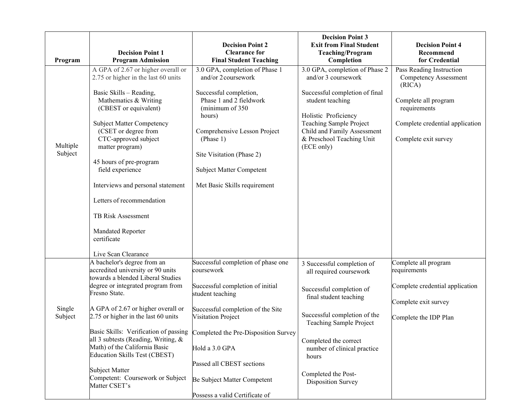| A GPA of 2.67 or higher overall or<br>3.0 GPA, completion of Phase 2<br>3.0 GPA, completion of Phase 1<br>Pass Reading Instruction<br>2.75 or higher in the last 60 units<br>and/or 2 coursework<br>and/or 3 coursework<br>Competency Assessment<br>(RICA)<br>Basic Skills - Reading,<br>Successful completion of final<br>Successful completion,<br>Phase 1 and 2 fieldwork<br>Mathematics & Writing<br>student teaching<br>Complete all program<br>(CBEST or equivalent)<br>(minimum of 350<br>requirements<br>Holistic Proficiency<br>hours)<br>Teaching Sample Project<br><b>Subject Matter Competency</b><br>(CSET or degree from<br>Child and Family Assessment<br>Comprehensive Lesson Project<br>CTC-approved subject<br>& Preschool Teaching Unit<br>(Phase 1)<br>Complete exit survey<br>Multiple<br>(ECE only)<br>matter program)<br>Subject<br>Site Visitation (Phase 2)<br>45 hours of pre-program<br>field experience<br>Subject Matter Competent<br>Interviews and personal statement<br>Met Basic Skills requirement | Program | <b>Decision Point 1</b><br><b>Program Admission</b> | <b>Decision Point 2</b><br><b>Clearance for</b><br><b>Final Student Teaching</b> | <b>Decision Point 3</b><br><b>Exit from Final Student</b><br><b>Teaching/Program</b><br>Completion | <b>Decision Point 4</b><br>Recommend<br>for Credential |
|--------------------------------------------------------------------------------------------------------------------------------------------------------------------------------------------------------------------------------------------------------------------------------------------------------------------------------------------------------------------------------------------------------------------------------------------------------------------------------------------------------------------------------------------------------------------------------------------------------------------------------------------------------------------------------------------------------------------------------------------------------------------------------------------------------------------------------------------------------------------------------------------------------------------------------------------------------------------------------------------------------------------------------------|---------|-----------------------------------------------------|----------------------------------------------------------------------------------|----------------------------------------------------------------------------------------------------|--------------------------------------------------------|
| TB Risk Assessment<br>Mandated Reporter<br>certificate                                                                                                                                                                                                                                                                                                                                                                                                                                                                                                                                                                                                                                                                                                                                                                                                                                                                                                                                                                               |         | Letters of recommendation                           |                                                                                  |                                                                                                    | Complete credential application                        |
| Live Scan Clearance<br>A bachelor's degree from an<br>Successful completion of phase one                                                                                                                                                                                                                                                                                                                                                                                                                                                                                                                                                                                                                                                                                                                                                                                                                                                                                                                                             |         |                                                     |                                                                                  |                                                                                                    |                                                        |
| Complete all program<br>3 Successful completion of<br>accredited university or 90 units<br>coursework<br>requirements<br>all required coursework<br>towards a blended Liberal Studies                                                                                                                                                                                                                                                                                                                                                                                                                                                                                                                                                                                                                                                                                                                                                                                                                                                |         |                                                     |                                                                                  |                                                                                                    |                                                        |
| degree or integrated program from<br>Successful completion of initial<br>Successful completion of<br>Fresno State.<br>student teaching<br>final student teaching<br>Complete exit survey                                                                                                                                                                                                                                                                                                                                                                                                                                                                                                                                                                                                                                                                                                                                                                                                                                             |         |                                                     |                                                                                  |                                                                                                    | Complete credential application                        |
| Single<br>A GPA of 2.67 or higher overall or<br>Successful completion of the Site<br>Successful completion of the<br>2.75 or higher in the last 60 units<br>Subject<br>Visitation Project<br>Complete the IDP Plan<br>Teaching Sample Project                                                                                                                                                                                                                                                                                                                                                                                                                                                                                                                                                                                                                                                                                                                                                                                        |         |                                                     |                                                                                  |                                                                                                    |                                                        |
| Basic Skills: Verification of passing<br>Completed the Pre-Disposition Survey<br>all 3 subtests (Reading, Writing, &<br>Completed the correct<br>Math) of the California Basic<br>Hold a 3.0 GPA<br>number of clinical practice<br><b>Education Skills Test (CBEST)</b><br>hours<br>Passed all CBEST sections<br><b>Subject Matter</b>                                                                                                                                                                                                                                                                                                                                                                                                                                                                                                                                                                                                                                                                                               |         |                                                     |                                                                                  |                                                                                                    |                                                        |
| Completed the Post-<br>Competent: Coursework or Subject<br>Be Subject Matter Competent<br><b>Disposition Survey</b><br>Matter CSET's<br>Possess a valid Certificate of                                                                                                                                                                                                                                                                                                                                                                                                                                                                                                                                                                                                                                                                                                                                                                                                                                                               |         |                                                     |                                                                                  |                                                                                                    |                                                        |